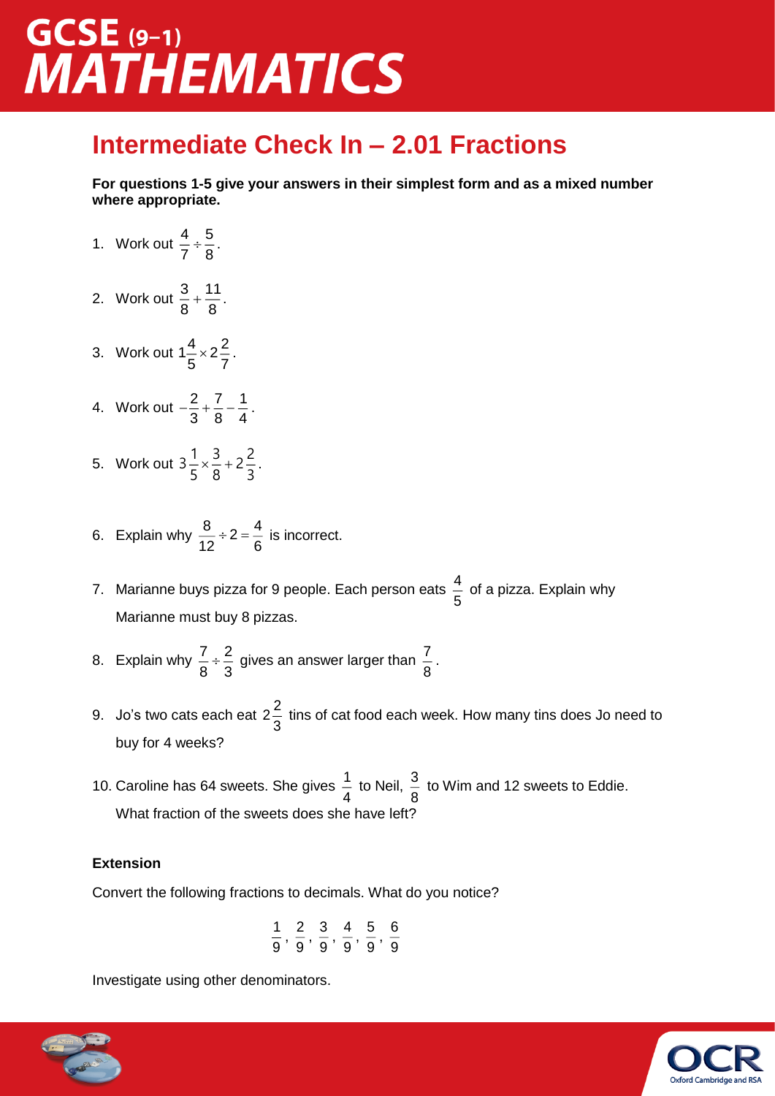## $GCSE$  (9-1) **MATHEMATICS**

### **Intermediate Check In – 2.01 Fractions**

**For questions 1-5 give your answers in their simplest form and as a mixed number where appropriate.**

- 1. Work out  $\frac{4}{5} \div \frac{5}{6}$  $\frac{1}{7} \div \frac{8}{8}$ .
- 2. Work out  $\frac{3}{5} + \frac{11}{5}$  $\frac{8}{8} + \frac{11}{8}$ .
- 3. Work out  $1\frac{4}{5} \times 2\frac{2}{5}$  $\frac{1}{5}$   $\times$  2 $\frac{2}{7}$ .
- 4. Work out  $-\frac{2}{3} + \frac{7}{3} \frac{1}{4}$  $\frac{2}{3} + \frac{1}{8} - \frac{1}{4}$ .
- 5. Work out  $3\frac{1}{5} \times \frac{3}{5} + 2\frac{2}{5}$  $\frac{1}{5} \times \frac{5}{8} + 2\frac{5}{3}$ .
- 6. Explain why  $\frac{8}{10} \div 2 = \frac{4}{8}$  $\frac{0}{12} \div 2 = \frac{4}{6}$  is incorrect.
- 7. Marianne buys pizza for 9 people. Each person eats  $\frac{4}{5}$  $\frac{1}{5}$  of a pizza. Explain why<br>5 Marianne must buy 8 pizzas.
- 8. Explain why  $\frac{7}{3} \div \frac{2}{3}$  $\frac{7}{8}\div\frac{2}{3}$  gives an answer larger than  $\frac{7}{8}$  $\frac{1}{8}$  .
- 9. Jo's two cats each eat 2 $\frac{2}{3}$ 3 tins of cat food each week. How many tins does Jo need to buy for 4 weeks?
- 10. Caroline has 64 sweets. She gives  $\frac{1}{1}$  $\frac{1}{4}$  to Neil,  $\frac{3}{8}$  $\frac{8}{8}$  to Wim and 12 sweets to Eddie. What fraction of the sweets does she have left?

#### **Extension**

Convert the following fractions to decimals. What do you notice?

$$
\frac{1}{9},\,\frac{2}{9},\,\frac{3}{9},\,\frac{4}{9},\,\frac{5}{9},\,\frac{6}{9}
$$

Investigate using other denominators.



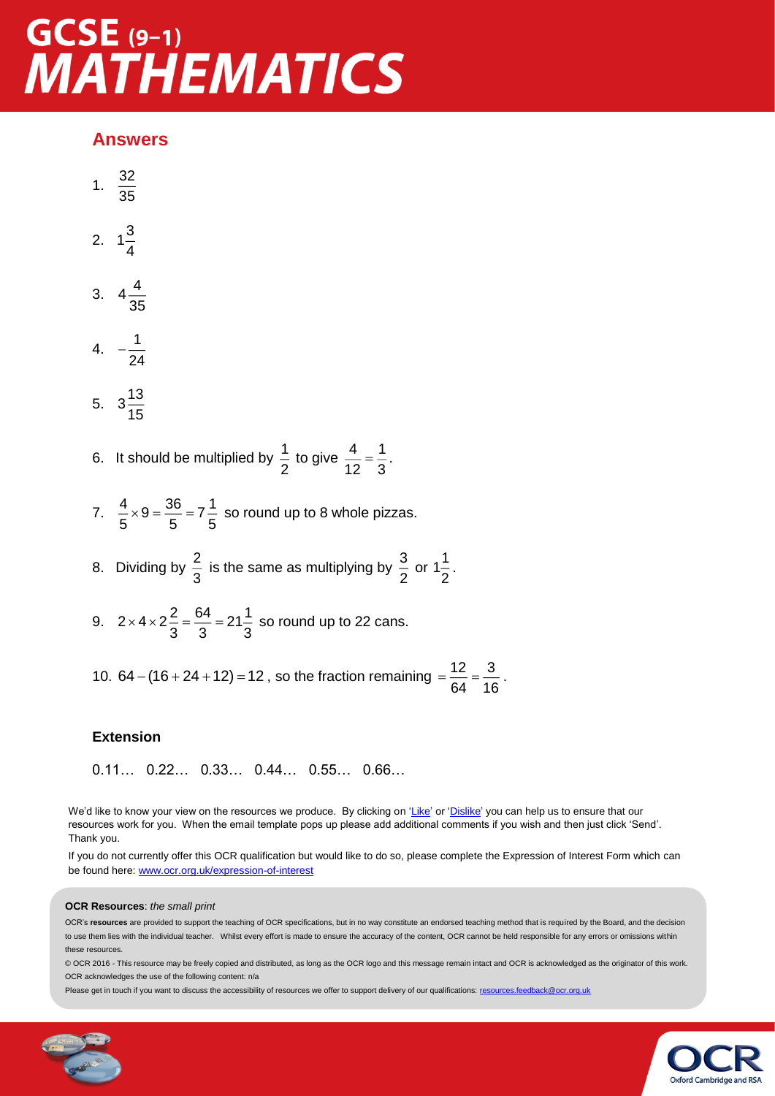## $GCSE$  (9-1) **MATHEMATICS**

#### **Answers**

- 1.  $\frac{32}{1}$ 35
- 2.  $1\frac{3}{7}$ 4
- 3.  $4\frac{4}{3}$ 35
- 4.  $-\frac{1}{2}$  $-\frac{1}{24}$
- 5.  $3\frac{13}{17}$ 15
- 6. It should be multiplied by  $\frac{1}{2}$  $\frac{1}{2}$  to give  $\frac{4}{12}$  =  $\frac{1}{3}$  $\frac{1}{12} = \frac{1}{3}$ .
- 7.  $\frac{4}{7} \times 9 = \frac{36}{7} = 7\frac{1}{7}$  $\frac{1}{5}$  × 9 =  $\frac{36}{5}$  = 7  $\frac{1}{5}$  so round up to 8 whole pizzas.
- 8. Dividing by  $\frac{2}{3}$  $\frac{2}{3}$  is the same as multiplying by  $\frac{3}{2}$  $\frac{3}{2}$  or 1 $\frac{1}{2}$  $\frac{1}{2}$ .
- 9.  $2 \times 4 \times 2 = \frac{64}{3} = 21\frac{1}{3}$  $\times$  4  $\times$  2  $\frac{2}{3}$  =  $\frac{3}{3}$  = 21 $\frac{1}{3}$  so round up to 22 cans.
- 10. 64 (16 + 24 + 12) = 12, so the fraction remaining =  $\frac{12}{24} = \frac{3}{44}$  $=\frac{12}{64}=\frac{9}{16}$ .

#### **Extension**

0.11… 0.22… 0.33… 0.44… 0.55… 0.66…

We'd like to know your view on the resources we produce. By clicking on ['Like'](mailto:resources.feedback@ocr.org.uk?subject=I%20liked%20the%20GCSE%20(9-1)%20Mathematics%20Foundation%20Check%20In%20-%202.01%20Fractions) or ['Dislike'](mailto:resources.feedback@ocr.org.uk?subject=I%20disliked%20the%20GCSE%20(9-1)%20Mathematics%20Foundation%20Check%20In%20-%202.01%20Fractions) you can help us to ensure that our resources work for you. When the email template pops up please add additional comments if you wish and then just click 'Send'. Thank you.

If you do not currently offer this OCR qualification but would like to do so, please complete the Expression of Interest Form which can be found here[: www.ocr.org.uk/expression-of-interest](http://www.ocr.org.uk/expression-of-interest)

#### **OCR Resources**: *the small print*

OCR's **resources** are provided to support the teaching of OCR specifications, but in no way constitute an endorsed teaching method that is required by the Board, and the decision to use them lies with the individual teacher. Whilst every effort is made to ensure the accuracy of the content, OCR cannot be held responsible for any errors or omissions within these resources.

© OCR 2016 - This resource may be freely copied and distributed, as long as the OCR logo and this message remain intact and OCR is acknowledged as the originator of this work. OCR acknowledges the use of the following content: n/a

Please get in touch if you want to discuss the accessibility of resources we offer to support delivery of our qualifications: [resources.feedback@ocr.org.uk](mailto:resources.feedback@ocr.org.uk)